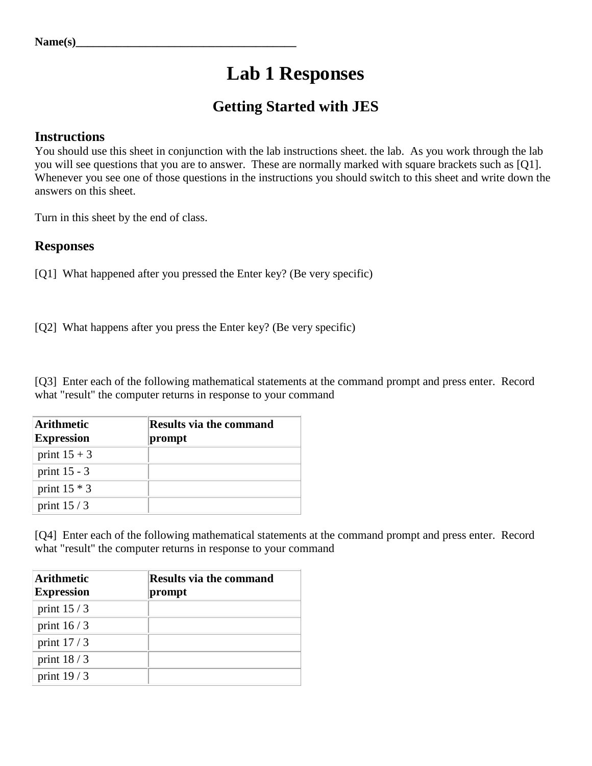## **Lab 1 Responses**

## **Getting Started with JES**

## **Instructions**

You should use this sheet in conjunction with the lab instructions sheet. the lab. As you work through the lab you will see questions that you are to answer. These are normally marked with square brackets such as [Q1]. Whenever you see one of those questions in the instructions you should switch to this sheet and write down the answers on this sheet.

Turn in this sheet by the end of class.

## **Responses**

[Q1] What happened after you pressed the Enter key? (Be very specific)

[Q2] What happens after you press the Enter key? (Be very specific)

[Q3] Enter each of the following mathematical statements at the command prompt and press enter. Record what "result" the computer returns in response to your command

| Arithmetic<br><b>Expression</b> | <b>Results via the command</b><br>prompt |
|---------------------------------|------------------------------------------|
| print $15 + 3$                  |                                          |
| print $15 - 3$                  |                                          |
| print $15 * 3$                  |                                          |
| print $15/3$                    |                                          |

[Q4] Enter each of the following mathematical statements at the command prompt and press enter. Record what "result" the computer returns in response to your command

| <b>Arithmetic</b><br><b>Expression</b> | <b>Results via the command</b><br>prompt |
|----------------------------------------|------------------------------------------|
| print $15/3$                           |                                          |
| print $16/3$                           |                                          |
| print $17/3$                           |                                          |
| print $18/3$                           |                                          |
| print $19/3$                           |                                          |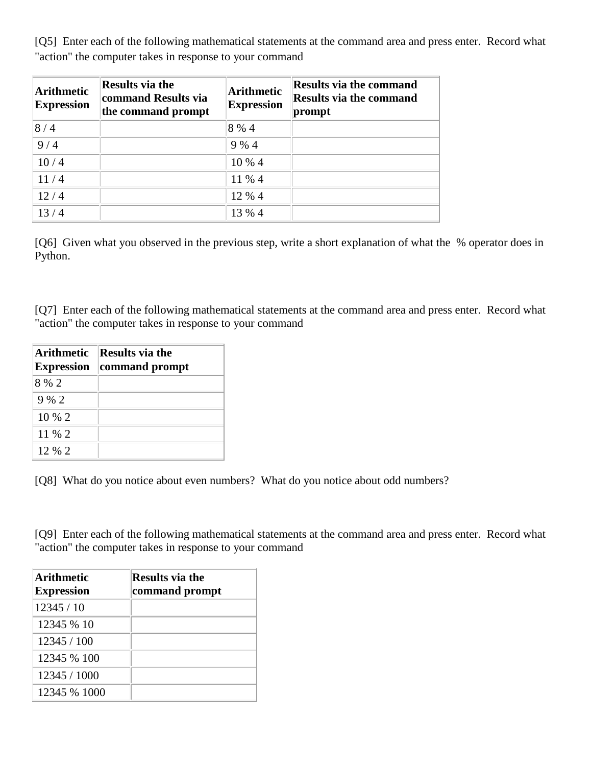[Q5] Enter each of the following mathematical statements at the command area and press enter. Record what "action" the computer takes in response to your command

| <b>Arithmetic</b><br><b>Expression</b> | <b>Results via the</b><br>command Results via<br>the command prompt | Arithmetic<br><b>Expression</b> | <b>Results via the command</b><br><b>Results via the command</b><br>prompt |
|----------------------------------------|---------------------------------------------------------------------|---------------------------------|----------------------------------------------------------------------------|
| 8/4                                    |                                                                     | 8 % 4                           |                                                                            |
| 9/4                                    |                                                                     | 9 % 4                           |                                                                            |
| 10/4                                   |                                                                     | 10 % 4                          |                                                                            |
| 11/4                                   |                                                                     | 11 % 4                          |                                                                            |
| 12/4                                   |                                                                     | 12 % 4                          |                                                                            |
| 13/4                                   |                                                                     | 13 % 4                          |                                                                            |

[Q6] Given what you observed in the previous step, write a short explanation of what the % operator does in Python.

[Q7] Enter each of the following mathematical statements at the command area and press enter. Record what "action" the computer takes in response to your command

| <b>Arithmetic</b><br><b>Expression</b> | <b>Results via the</b><br>command prompt |
|----------------------------------------|------------------------------------------|
| 8 % 2                                  |                                          |
| $9\%$ 2                                |                                          |
| $10\%2$                                |                                          |
| 11 % 2                                 |                                          |
| 12.96.2                                |                                          |

[Q8] What do you notice about even numbers? What do you notice about odd numbers?

[Q9] Enter each of the following mathematical statements at the command area and press enter. Record what "action" the computer takes in response to your command

| <b>Arithmetic</b><br><b>Expression</b> | <b>Results via the</b><br>command prompt |
|----------------------------------------|------------------------------------------|
| 12345/10                               |                                          |
| 12345 % 10                             |                                          |
| 12345 / 100                            |                                          |
| 12345 % 100                            |                                          |
| 12345 / 1000                           |                                          |
| 12345 % 1000                           |                                          |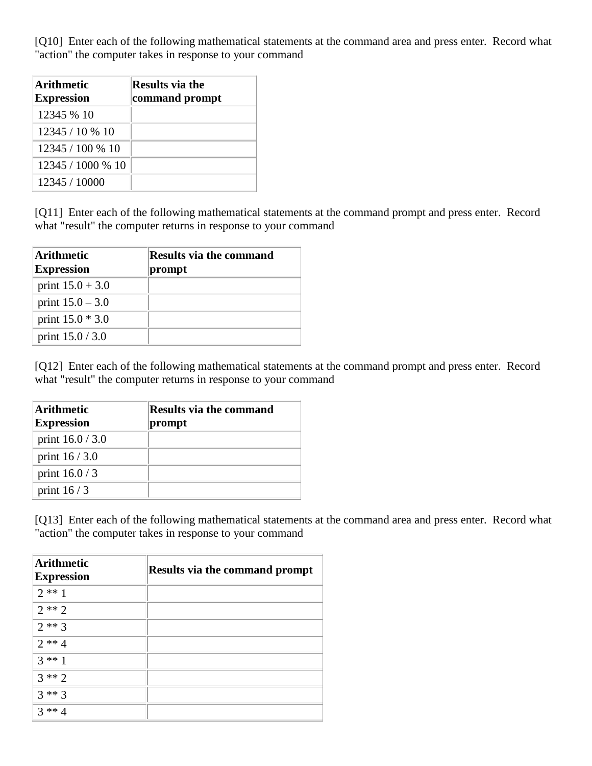[Q10] Enter each of the following mathematical statements at the command area and press enter. Record what "action" the computer takes in response to your command

| Arithmetic<br><b>Expression</b> | <b>Results via the</b><br>command prompt |
|---------------------------------|------------------------------------------|
| 12345 % 10                      |                                          |
| 12345 / 10 % 10                 |                                          |
| 12345 / 100 % 10                |                                          |
| 12345 / 1000 % 10               |                                          |
| 12345 / 10000                   |                                          |

[Q11] Enter each of the following mathematical statements at the command prompt and press enter. Record what "result" the computer returns in response to your command

| <b>Arithmetic</b><br><b>Expression</b> | <b>Results via the command</b><br>prompt |
|----------------------------------------|------------------------------------------|
| print $15.0 + 3.0$                     |                                          |
| print $15.0 - 3.0$                     |                                          |
| print $15.0 * 3.0$                     |                                          |
| print $15.0 / 3.0$                     |                                          |

[Q12] Enter each of the following mathematical statements at the command prompt and press enter. Record what "result" the computer returns in response to your command

| <b>Arithmetic</b><br><b>Expression</b> | <b>Results via the command</b><br>prompt |
|----------------------------------------|------------------------------------------|
| print $16.0 / 3.0$                     |                                          |
| print $16/3.0$                         |                                          |
| print $16.0/3$                         |                                          |
| print $16/3$                           |                                          |

[Q13] Enter each of the following mathematical statements at the command area and press enter. Record what "action" the computer takes in response to your command

| <b>Arithmetic</b><br><b>Expression</b> | <b>Results via the command prompt</b> |
|----------------------------------------|---------------------------------------|
| $2**1$                                 |                                       |
| $2**2$                                 |                                       |
| $2**3$                                 |                                       |
| $2**4$                                 |                                       |
| $3 * 1$                                |                                       |
| $3**2$                                 |                                       |
| $3**3$                                 |                                       |
| $3 * A$                                |                                       |